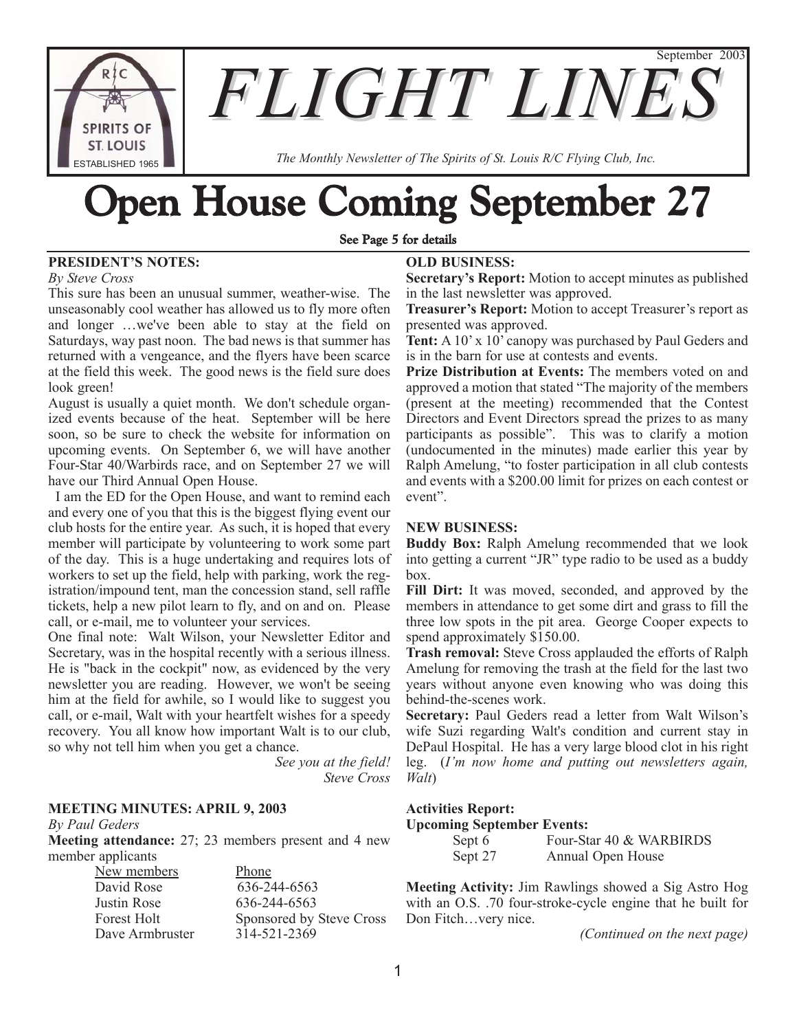**SPIRITS OF ST. LOUIS** ESTABLISHED 1965

**FLIGHT LINE** 

*The Monthly Newsletter of The Spirits of St. Louis R/C Flying Club, Inc.*

# bpen House Coming September 27

## See Page 5 for details

# **PRESIDENT'S NOTES:**

*By Steve Cross*

This sure has been an unusual summer, weather-wise. The unseasonably cool weather has allowed us to fly more often and longer …we've been able to stay at the field on Saturdays, way past noon. The bad news is that summer has returned with a vengeance, and the flyers have been scarce at the field this week. The good news is the field sure does look green!

August is usually a quiet month. We don't schedule organized events because of the heat. September will be here soon, so be sure to check the website for information on upcoming events. On September 6, we will have another Four-Star 40/Warbirds race, and on September 27 we will have our Third Annual Open House.

I am the ED for the Open House, and want to remind each and every one of you that this is the biggest flying event our club hosts for the entire year. As such, it is hoped that every member will participate by volunteering to work some part of the day. This is a huge undertaking and requires lots of workers to set up the field, help with parking, work the registration/impound tent, man the concession stand, sell raffle tickets, help a new pilot learn to fly, and on and on. Please call, or e-mail, me to volunteer your services.

One final note: Walt Wilson, your Newsletter Editor and Secretary, was in the hospital recently with a serious illness. He is "back in the cockpit" now, as evidenced by the very newsletter you are reading. However, we won't be seeing him at the field for awhile, so I would like to suggest you call, or e-mail, Walt with your heartfelt wishes for a speedy recovery. You all know how important Walt is to our club, so why not tell him when you get a chance.

> *See you at the field! Steve Cross*

# **MEETING MINUTES: APRIL 9, 2003**

*By Paul Geders*

**Meeting attendance:** 27; 23 members present and 4 new member applicants

> New members Phone David Rose 636-244-6563 Justin Rose 636-244-6563 Forest Holt Sponsored by Steve Cross Dave Armbruster 314-521-2369

# **OLD BUSINESS:**

**Secretary's Report:** Motion to accept minutes as published in the last newsletter was approved.

September 2003

**Treasurer's Report:** Motion to accept Treasurer's report as presented was approved.

Tent: A 10' x 10' canopy was purchased by Paul Geders and is in the barn for use at contests and events.

**Prize Distribution at Events:** The members voted on and approved a motion that stated "The majority of the members (present at the meeting) recommended that the Contest Directors and Event Directors spread the prizes to as many participants as possible". This was to clarify a motion (undocumented in the minutes) made earlier this year by Ralph Amelung, "to foster participation in all club contests and events with a \$200.00 limit for prizes on each contest or event".

# **NEW BUSINESS:**

**Buddy Box:** Ralph Amelung recommended that we look into getting a current "JR" type radio to be used as a buddy box.

**Fill Dirt:** It was moved, seconded, and approved by the members in attendance to get some dirt and grass to fill the three low spots in the pit area. George Cooper expects to spend approximately \$150.00.

**Trash removal:** Steve Cross applauded the efforts of Ralph Amelung for removing the trash at the field for the last two years without anyone even knowing who was doing this behind-the-scenes work.

**Secretary:** Paul Geders read a letter from Walt Wilson's wife Suzi regarding Walt's condition and current stay in DePaul Hospital. He has a very large blood clot in his right leg. (*I'm now home and putting out newsletters again, Walt*)

# **Activities Report:**

#### **Upcoming September Events:**

| Sept 6  | Four-Star 40 & WARBIRDS |
|---------|-------------------------|
| Sept 27 | Annual Open House       |

**Meeting Activity:** Jim Rawlings showed a Sig Astro Hog with an O.S. .70 four-stroke-cycle engine that he built for Don Fitch…very nice.

*(Continued on the next page)*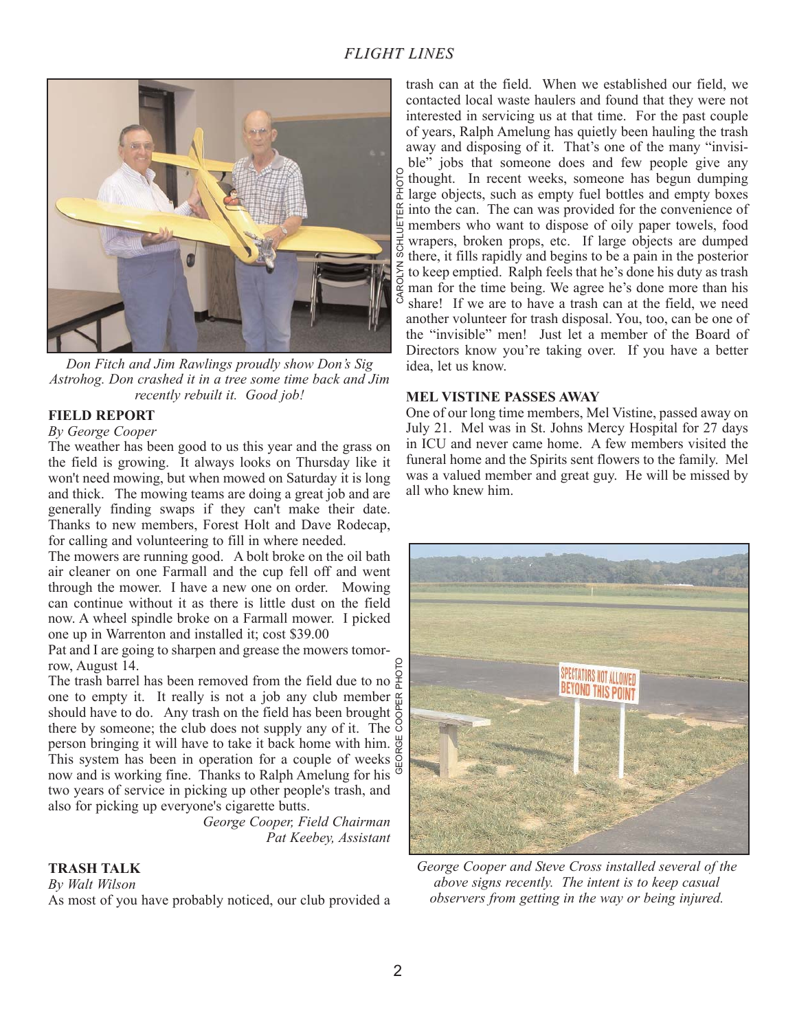

*Don Fitch and Jim Rawlings proudly show Don's Sig Astrohog. Don crashed it in a tree some time back and Jim recently rebuilt it. Good job!*

# **FIELD REPORT**

#### *By George Cooper*

The weather has been good to us this year and the grass on the field is growing. It always looks on Thursday like it won't need mowing, but when mowed on Saturday it is long and thick. The mowing teams are doing a great job and are generally finding swaps if they can't make their date. Thanks to new members, Forest Holt and Dave Rodecap, for calling and volunteering to fill in where needed.

The mowers are running good. A bolt broke on the oil bath air cleaner on one Farmall and the cup fell off and went through the mower. I have a new one on order. Mowing can continue without it as there is little dust on the field now. A wheel spindle broke on a Farmall mower. I picked one up in Warrenton and installed it; cost \$39.00

Pat and I are going to sharpen and grease the mowers tomorrow, August 14.

The trash barrel has been removed from the field due to no  $\frac{6}{6}$ one to empty it. It really is not a job any club member  $\frac{\alpha}{2}$ should have to do. Any trash on the field has been brought  $\frac{1}{0}$ there by someone; the club does not supply any of it. The  $\frac{8}{3}$ person bringing it will have to take it back home with him. This system has been in operation for a couple of weeks now and is working fine. Thanks to Ralph Amelung for his  $\overline{\Phi}$ two years of service in picking up other people's trash, and also for picking up everyone's cigarette butts.

> *George Cooper, Field Chairman Pat Keebey, Assistant*

# **TRASH TALK**

*By Walt Wilson* As most of you have probably noticed, our club provided a

trash can at the field. When we established our field, we contacted local waste haulers and found that they were not interested in servicing us at that time. For the past couple of years, Ralph Amelung has quietly been hauling the trash away and disposing of it. That's one of the many "invisible" jobs that someone does and few people give any thought. In recent weeks, someone has begun dumping large objects, such as empty fuel bottles and empty boxes  $\frac{\alpha}{\mu}$  into the can. The can was provided for the convenience of  $\overline{\mathbb{Q}}$  members who want to dispose of oily paper towels, food wrapers, broken props, etc. If large objects are dumped there, it fills rapidly and begins to be a pain in the posterior to keep emptied. Ralph feels that he's done his duty as trash man for the time being. We agree he's done more than his share! If we are to have a trash can at the field, we need another volunteer for trash disposal. You, too, can be one of the "invisible" men! Just let a member of the Board of Directors know you're taking over. If you have a better idea, let us know.

# **MEL VISTINE PASSES AWAY**

One of our long time members, Mel Vistine, passed away on July 21. Mel was in St. Johns Mercy Hospital for 27 days in ICU and never came home. A few members visited the funeral home and the Spirits sent flowers to the family. Mel was a valued member and great guy. He will be missed by all who knew him.



*George Cooper and Steve Cross installed several of the above signs recently. The intent is to keep casual observers from getting in the way or being injured.*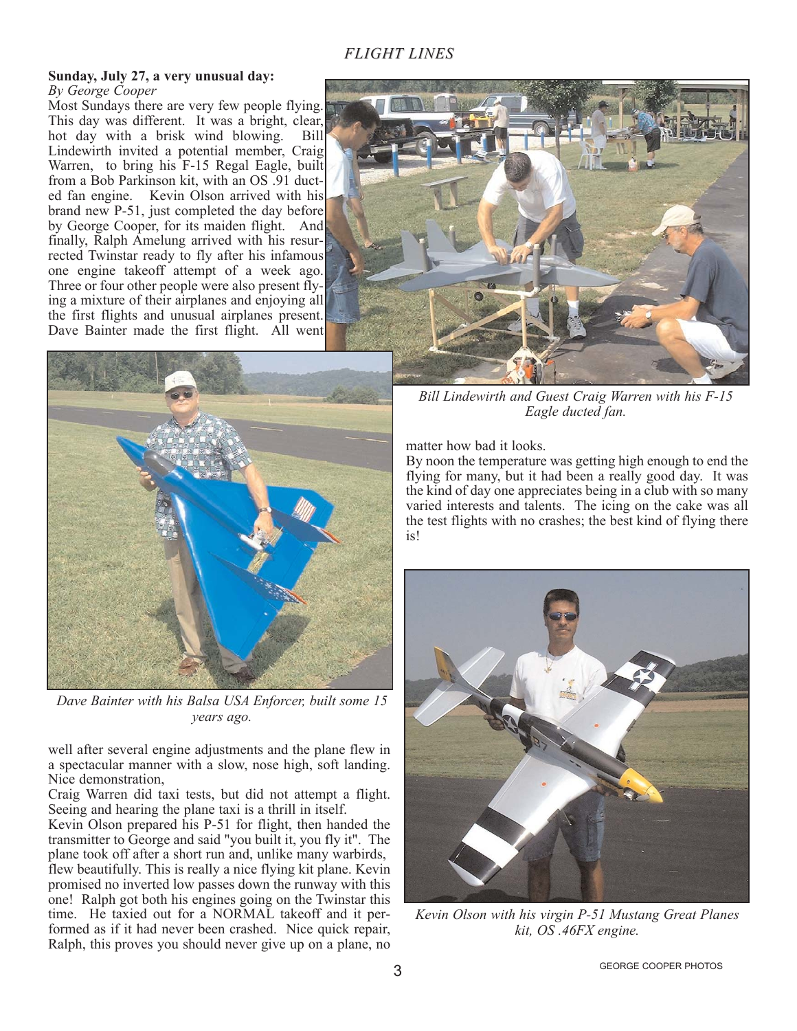# *FLIGHT LINES*

#### **Sunday, July 27, a very unusual day:** *By George Cooper*

Most Sundays there are very few people flying. This day was different. It was a bright, clear, hot day with a brisk wind blowing. Bill Lindewirth invited a potential member, Craig Warren, to bring his F-15 Regal Eagle, built from a Bob Parkinson kit, with an OS .91 ducted fan engine. Kevin Olson arrived with his brand new P-51, just completed the day before by George Cooper, for its maiden flight. And finally, Ralph Amelung arrived with his resurrected Twinstar ready to fly after his infamous one engine takeoff attempt of a week ago. Three or four other people were also present flying a mixture of their airplanes and enjoying all the first flights and unusual airplanes present. Dave Bainter made the first flight. All went



*Dave Bainter with his Balsa USA Enforcer, built some 15 years ago.*

well after several engine adjustments and the plane flew in a spectacular manner with a slow, nose high, soft landing. Nice demonstration,

Craig Warren did taxi tests, but did not attempt a flight. Seeing and hearing the plane taxi is a thrill in itself.

Kevin Olson prepared his P-51 for flight, then handed the transmitter to George and said "you built it, you fly it". The plane took off after a short run and, unlike many warbirds, flew beautifully. This is really a nice flying kit plane. Kevin promised no inverted low passes down the runway with this one! Ralph got both his engines going on the Twinstar this time. He taxied out for a NORMAL takeoff and it performed as if it had never been crashed. Nice quick repair, Ralph, this proves you should never give up on a plane, no



*Bill Lindewirth and Guest Craig Warren with his F-15 Eagle ducted fan.*

matter how bad it looks.

By noon the temperature was getting high enough to end the flying for many, but it had been a really good day. It was the kind of day one appreciates being in a club with so many varied interests and talents. The icing on the cake was all the test flights with no crashes; the best kind of flying there is!



*Kevin Olson with his virgin P-51 Mustang Great Planes kit, OS .46FX engine.*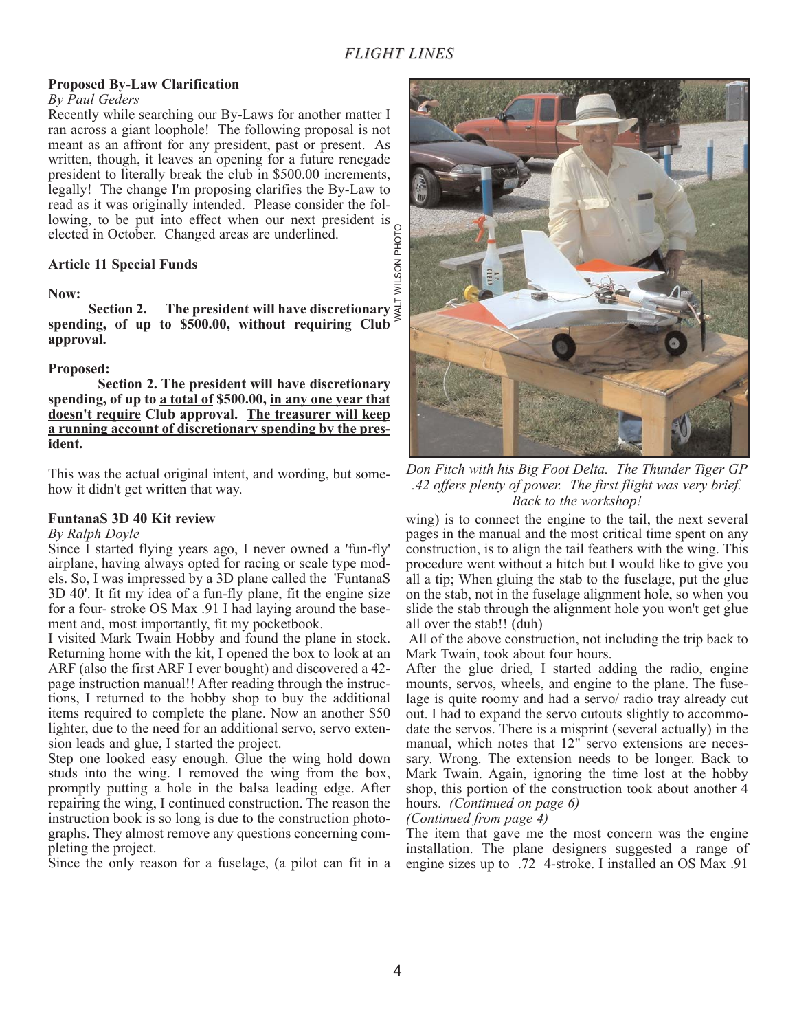# *FLIGHT LINES*

# **Proposed By-Law Clarification**

## *By Paul Geders*

Recently while searching our By-Laws for another matter I ran across a giant loophole! The following proposal is not meant as an affront for any president, past or present. As written, though, it leaves an opening for a future renegade president to literally break the club in \$500.00 increments, legally! The change I'm proposing clarifies the By-Law to read as it was originally intended. Please consider the following, to be put into effect when our next president is elected in October. Changed areas are underlined.

# **Article 11 Special Funds**

# **Now:**

**Section 2. The president will have discretionary spending, of up to \$500.00, without requiring Club approval.**

# **Proposed:**

**Section 2. The president will have discretionary spending, of up to a total of \$500.00, in any one year that doesn't require Club approval. The treasurer will keep a running account of discretionary spending by the president.**

This was the actual original intent, and wording, but somehow it didn't get written that way.

# **FuntanaS 3D 40 Kit review**

# *By Ralph Doyle*

Since I started flying years ago, I never owned a 'fun-fly' airplane, having always opted for racing or scale type models. So, I was impressed by a 3D plane called the 'FuntanaS 3D 40'. It fit my idea of a fun-fly plane, fit the engine size for a four- stroke OS Max .91 I had laying around the basement and, most importantly, fit my pocketbook.

I visited Mark Twain Hobby and found the plane in stock. Returning home with the kit, I opened the box to look at an ARF (also the first ARF I ever bought) and discovered a 42 page instruction manual!! After reading through the instructions, I returned to the hobby shop to buy the additional items required to complete the plane. Now an another \$50 lighter, due to the need for an additional servo, servo extension leads and glue, I started the project.

Step one looked easy enough. Glue the wing hold down studs into the wing. I removed the wing from the box, promptly putting a hole in the balsa leading edge. After repairing the wing, I continued construction. The reason the instruction book is so long is due to the construction photographs. They almost remove any questions concerning completing the project.

Since the only reason for a fuselage, (a pilot can fit in a



*Don Fitch with his Big Foot Delta. The Thunder Tiger GP .42 offers plenty of power. The first flight was very brief. Back to the workshop!*

wing) is to connect the engine to the tail, the next several pages in the manual and the most critical time spent on any construction, is to align the tail feathers with the wing. This procedure went without a hitch but I would like to give you all a tip; When gluing the stab to the fuselage, put the glue on the stab, not in the fuselage alignment hole, so when you slide the stab through the alignment hole you won't get glue all over the stab!! (duh)

All of the above construction, not including the trip back to Mark Twain, took about four hours.

After the glue dried, I started adding the radio, engine mounts, servos, wheels, and engine to the plane. The fuselage is quite roomy and had a servo/ radio tray already cut out. I had to expand the servo cutouts slightly to accommodate the servos. There is a misprint (several actually) in the manual, which notes that 12" servo extensions are necessary. Wrong. The extension needs to be longer. Back to Mark Twain. Again, ignoring the time lost at the hobby shop, this portion of the construction took about another 4 hours. *(Continued on page 6)*

*(Continued from page 4)*

The item that gave me the most concern was the engine installation. The plane designers suggested a range of engine sizes up to .72 4-stroke. I installed an OS Max .91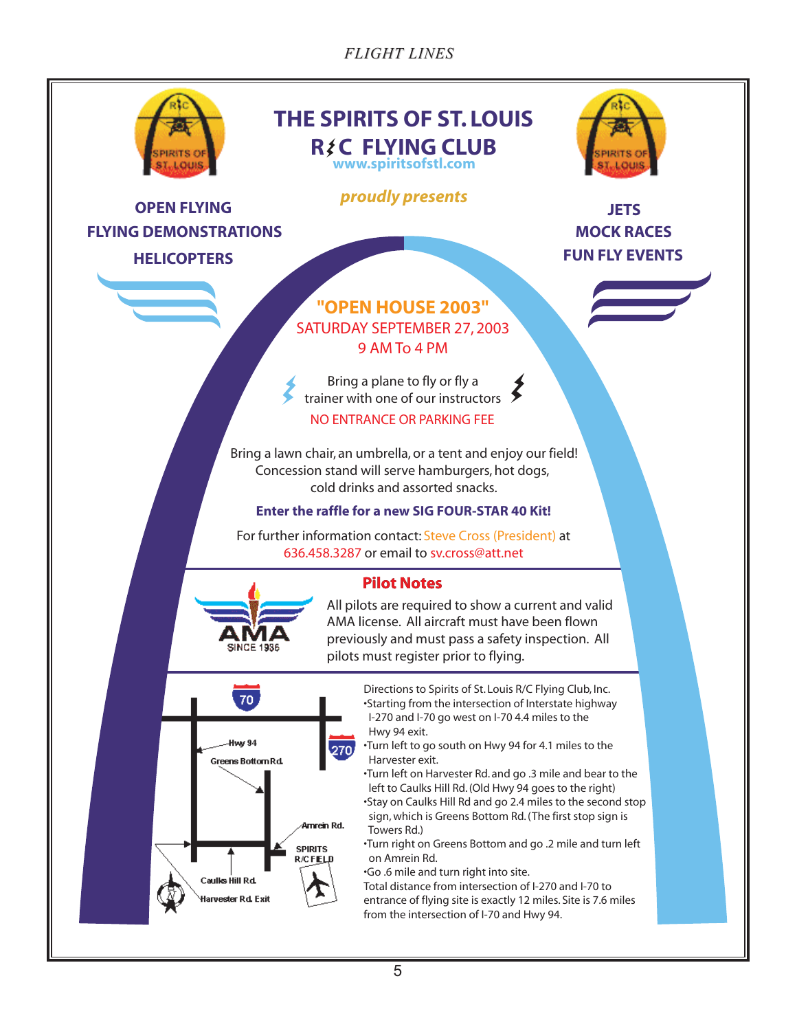*FLIGHT LINES*

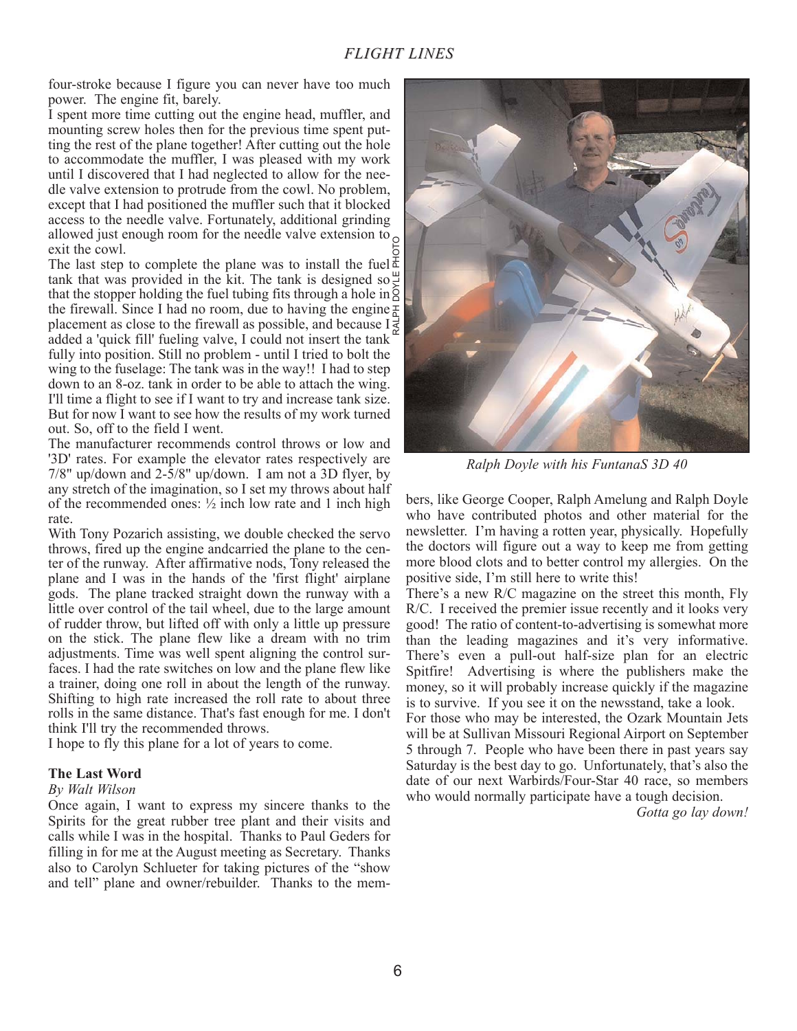four-stroke because I figure you can never have too much power. The engine fit, barely.

I spent more time cutting out the engine head, muffler, and mounting screw holes then for the previous time spent putting the rest of the plane together! After cutting out the hole to accommodate the muffler, I was pleased with my work until I discovered that I had neglected to allow for the needle valve extension to protrude from the cowl. No problem, except that I had positioned the muffler such that it blocked access to the needle valve. Fortunately, additional grinding allowed just enough room for the needle valve extension to  $\circ$ exit the cowl.

The last step to complete the plane was to install the fuel  $\bar{d}$ tank that was provided in the kit. The tank is designed so  $\frac{10}{3}$ that the stopper holding the fuel tubing fits through a hole in  $\frac{1}{6}$ the firewall. Since I had no room, due to having the engine  $\frac{1}{6}$ placement as close to the firewall as possible, and because  $I \not\equiv$ added a 'quick fill' fueling valve, I could not insert the tank fully into position. Still no problem - until I tried to bolt the wing to the fuselage: The tank was in the way!! I had to step down to an 8-oz. tank in order to be able to attach the wing. I'll time a flight to see if I want to try and increase tank size. But for now I want to see how the results of my work turned out. So, off to the field I went. RALPH DOYLE PHOTO

The manufacturer recommends control throws or low and '3D' rates. For example the elevator rates respectively are 7/8" up/down and 2-5/8" up/down. I am not a 3D flyer, by any stretch of the imagination, so I set my throws about half of the recommended ones:  $\frac{1}{2}$  inch low rate and 1 inch high rate.

With Tony Pozarich assisting, we double checked the servo throws, fired up the engine andcarried the plane to the center of the runway. After affirmative nods, Tony released the plane and I was in the hands of the 'first flight' airplane gods. The plane tracked straight down the runway with a little over control of the tail wheel, due to the large amount of rudder throw, but lifted off with only a little up pressure on the stick. The plane flew like a dream with no trim adjustments. Time was well spent aligning the control surfaces. I had the rate switches on low and the plane flew like a trainer, doing one roll in about the length of the runway. Shifting to high rate increased the roll rate to about three rolls in the same distance. That's fast enough for me. I don't think I'll try the recommended throws.

I hope to fly this plane for a lot of years to come.

# **The Last Word**

# *By Walt Wilson*

Once again, I want to express my sincere thanks to the Spirits for the great rubber tree plant and their visits and calls while I was in the hospital. Thanks to Paul Geders for filling in for me at the August meeting as Secretary. Thanks also to Carolyn Schlueter for taking pictures of the "show and tell" plane and owner/rebuilder. Thanks to the mem-



*Ralph Doyle with his FuntanaS 3D 40*

bers, like George Cooper, Ralph Amelung and Ralph Doyle who have contributed photos and other material for the newsletter. I'm having a rotten year, physically. Hopefully the doctors will figure out a way to keep me from getting more blood clots and to better control my allergies. On the positive side, I'm still here to write this!

There's a new R/C magazine on the street this month, Fly R/C. I received the premier issue recently and it looks very good! The ratio of content-to-advertising is somewhat more than the leading magazines and it's very informative. There's even a pull-out half-size plan for an electric Spitfire! Advertising is where the publishers make the money, so it will probably increase quickly if the magazine is to survive. If you see it on the newsstand, take a look.

For those who may be interested, the Ozark Mountain Jets will be at Sullivan Missouri Regional Airport on September 5 through 7. People who have been there in past years say Saturday is the best day to go. Unfortunately, that's also the date of our next Warbirds/Four-Star 40 race, so members who would normally participate have a tough decision.

*Gotta go lay down!*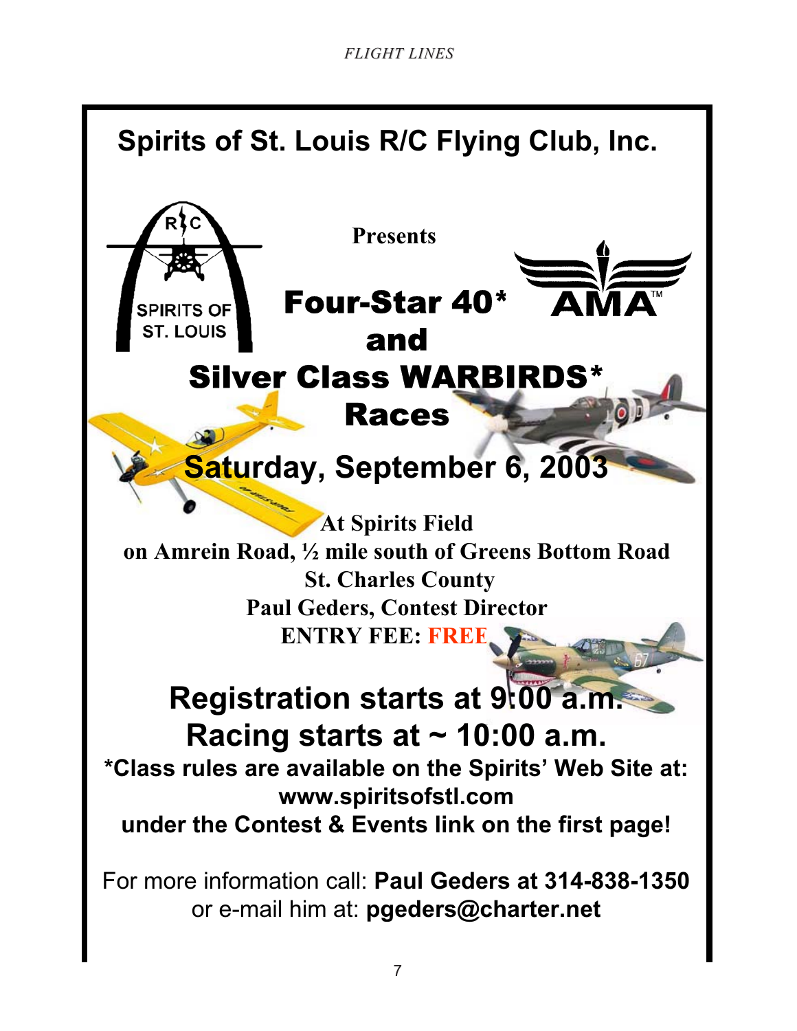